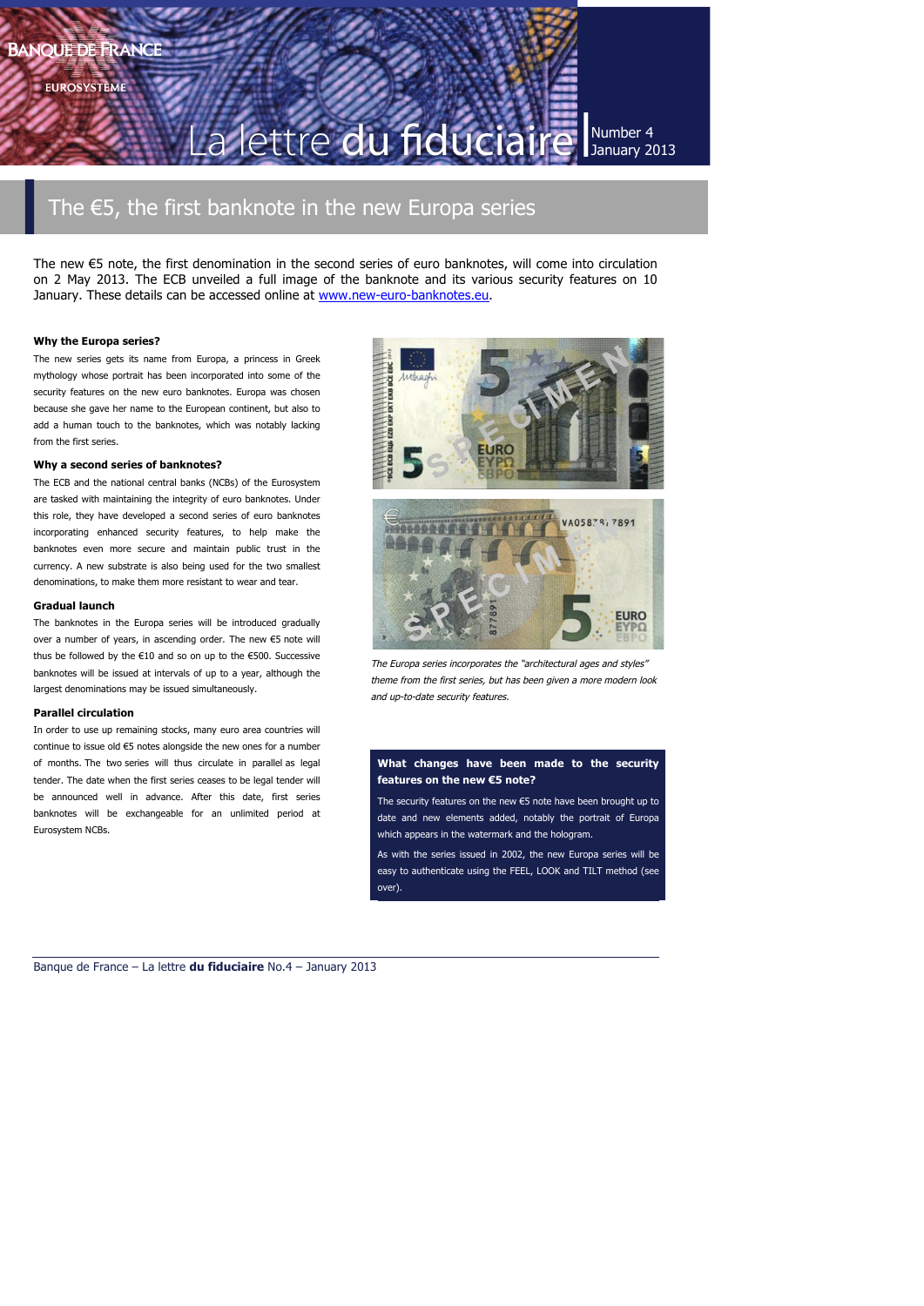**EUROSYSTÈME** 

lettre du fiducia

Number 4 January 2013

# The €5, the first banknote in the new Europa series

The new €5 note, the first denomination in the second series of euro banknotes, will come into circulation on 2 May 2013. The ECB unveiled a full image of the banknote and its various security features on 10 January. These details can be accessed online at www.new-euro-banknotes.eu.

### **Why the Europa series?**

The new series gets its name from Europa, a princess in Greek mythology whose portrait has been incorporated into some of the security features on the new euro banknotes. Europa was chosen because she gave her name to the European continent, but also to add a human touch to the banknotes, which was notably lacking from the first series.

### **Why a second series of banknotes?**

The ECB and the national central banks (NCBs) of the Eurosystem are tasked with maintaining the integrity of euro banknotes. Under this role, they have developed a second series of euro banknotes incorporating enhanced security features, to help make the banknotes even more secure and maintain public trust in the currency. A new substrate is also being used for the two smallest denominations, to make them more resistant to wear and tear.

### **Gradual launch**

The banknotes in the Europa series will be introduced gradually over a number of years, in ascending order. The new €5 note will thus be followed by the €10 and so on up to the €500. Successive banknotes will be issued at intervals of up to a year, although the largest denominations may be issued simultaneously.

### **Parallel circulation**

In order to use up remaining stocks, many euro area countries will continue to issue old €5 notes alongside the new ones for a number of months. The two series will thus circulate in parallel as legal tender. The date when the first series ceases to be legal tender will be announced well in advance. After this date, first series banknotes will be exchangeable for an unlimited period at Eurosystem NCBs.





The Europa series incorporates the "architectural ages and styles" theme from the first series, but has been given a more modern look and up-to-date security features.

### **What changes have been made to the security features on the new €5 note?**

The security features on the new €5 note have been brought up to date and new elements added, notably the portrait of Europa which appears in the watermark and the hologram.

As with the series issued in 2002, the new Europa series will be easy to authenticate using the FEEL, LOOK and TILT method (see over).

Banque de France – La lettre **du fiduciaire** No.4 – January 2013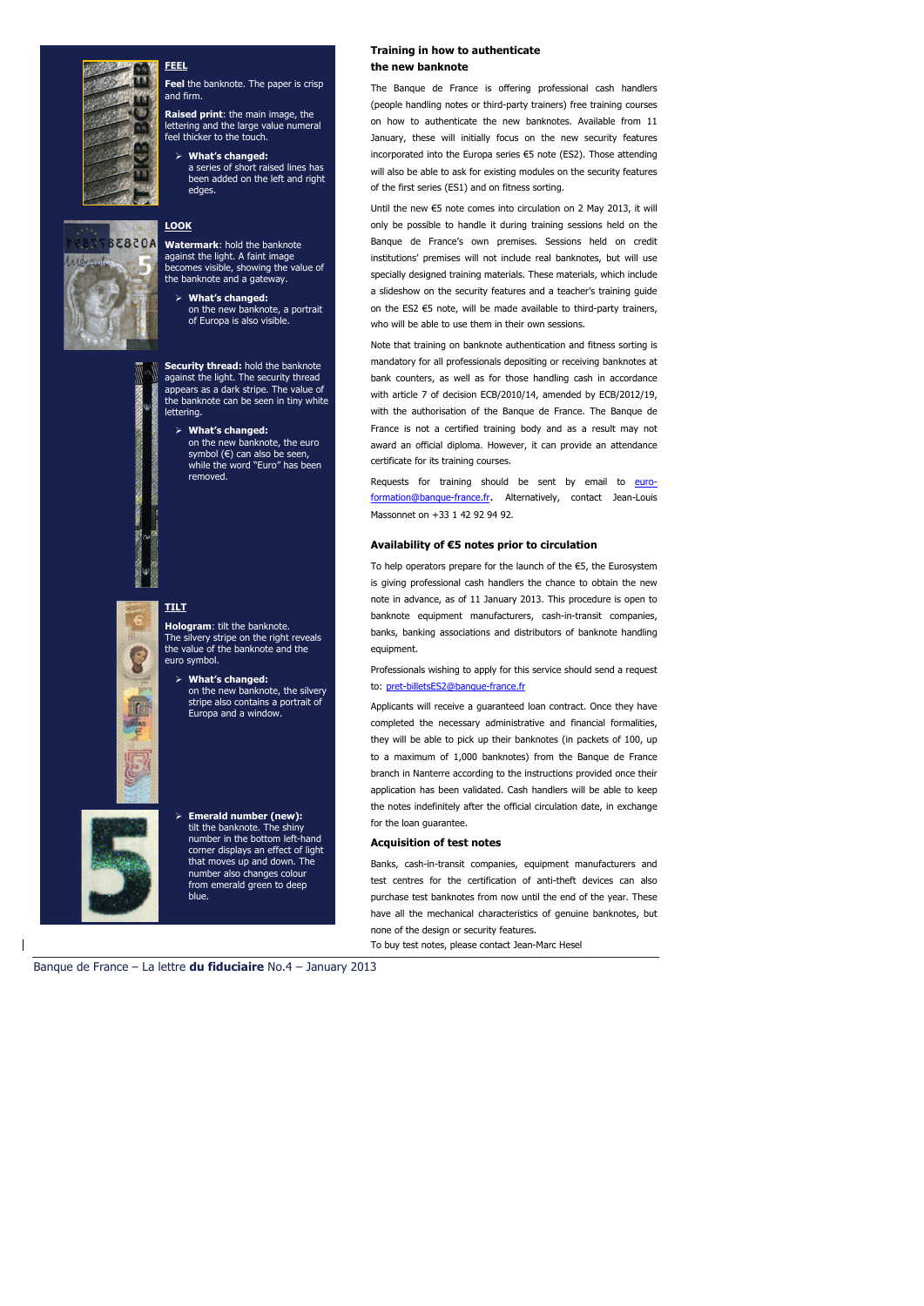

A05838

### **FEEL**

**Feel** the banknote. The paper is crisp and firm.

**Raised print**: the main image, the lettering and the large value numeral feel thicker to the touch.

 **What's changed:** a series of short raised lines has been added on the left and right edges.

## **LOOK**

**Watermark**: hold the banknote against the light. A faint image becomes visible, showing the value of the banknote and a gateway.

 **What's changed:** on the new banknote, a portrait of Europa is also visible.

**Security thread:** hold the banknote against the light. The security thread appears as a dark stripe. The value of the banknote can be seen in tiny white lettering.

- **What's changed:**
	- on the new banknote, the euro symbol (€) can also be seen, while the word "Euro" has been removed.

## **TILT**

**Hologram**: tilt the banknote. The silvery stripe on the right reveals the value of the banknote and the euro symbol.

 **What's changed:** on the new banknote, the silvery stripe also contains a portrait of Europa and a window.



 **Emerald number (new):**  tilt the banknote. The shiny number in the bottom left-hand corner displays an effect of light that moves up and down. The number also changes colour from emerald green to deep blue.

### **Training in how to authenticate the new banknote**

The Banque de France is offering professional cash handlers (people handling notes or third-party trainers) free training courses on how to authenticate the new banknotes. Available from 11 January, these will initially focus on the new security features incorporated into the Europa series €5 note (ES2). Those attending will also be able to ask for existing modules on the security features of the first series (ES1) and on fitness sorting.

Until the new €5 note comes into circulation on 2 May 2013, it will only be possible to handle it during training sessions held on the Banque de France's own premises. Sessions held on credit institutions' premises will not include real banknotes, but will use specially designed training materials. These materials, which include a slideshow on the security features and a teacher's training guide on the ES2 €5 note, will be made available to third-party trainers, who will be able to use them in their own sessions.

Note that training on banknote authentication and fitness sorting is mandatory for all professionals depositing or receiving banknotes at bank counters, as well as for those handling cash in accordance with article 7 of decision ECB/2010/14, amended by ECB/2012/19, with the authorisation of the Banque de France. The Banque de France is not a certified training body and as a result may not award an official diploma. However, it can provide an attendance certificate for its training courses.

Requests for training should be sent by email to euroformation@banque-france.fr. Alternatively, contact Jean-Louis Massonnet on +33 1 42 92 94 92.

### **Availability of €5 notes prior to circulation**

To help operators prepare for the launch of the €5, the Eurosystem is giving professional cash handlers the chance to obtain the new note in advance, as of 11 January 2013. This procedure is open to banknote equipment manufacturers, cash-in-transit companies, banks, banking associations and distributors of banknote handling equipment.

Professionals wishing to apply for this service should send a request to: pret-billetsES2@banque-france.fr

Applicants will receive a guaranteed loan contract. Once they have completed the necessary administrative and financial formalities, they will be able to pick up their banknotes (in packets of 100, up to a maximum of 1,000 banknotes) from the Banque de France branch in Nanterre according to the instructions provided once their application has been validated. Cash handlers will be able to keep the notes indefinitely after the official circulation date, in exchange for the loan guarantee.

#### **Acquisition of test notes**

Banks, cash-in-transit companies, equipment manufacturers and test centres for the certification of anti-theft devices can also purchase test banknotes from now until the end of the year. These have all the mechanical characteristics of genuine banknotes, but none of the design or security features.

To buy test notes, please contact Jean-Marc Hesel

Banque de France – La lettre **du fiduciaire** No.4 – January 2013